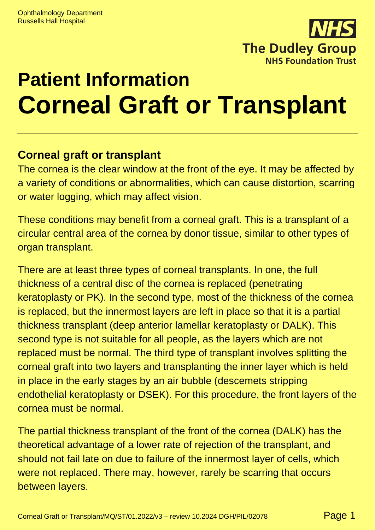

# **Patient Information Corneal Graft or Transplant**

# **Corneal graft or transplant**

The cornea is the clear window at the front of the eye. It may be affected by a variety of conditions or abnormalities, which can cause distortion, scarring or water logging, which may affect vision.

These conditions may benefit from a corneal graft. This is a transplant of a circular central area of the cornea by donor tissue, similar to other types of organ transplant.

There are at least three types of corneal transplants. In one, the full thickness of a central disc of the cornea is replaced (penetrating keratoplasty or PK). In the second type, most of the thickness of the cornea is replaced, but the innermost layers are left in place so that it is a partial thickness transplant (deep anterior lamellar keratoplasty or DALK). This second type is not suitable for all people, as the layers which are not replaced must be normal. The third type of transplant involves splitting the corneal graft into two layers and transplanting the inner layer which is held in place in the early stages by an air bubble (descemets stripping endothelial keratoplasty or DSEK). For this procedure, the front layers of the cornea must be normal.

The partial thickness transplant of the front of the cornea (DALK) has the theoretical advantage of a lower rate of rejection of the transplant, and should not fail late on due to failure of the innermost layer of cells, which were not replaced. There may, however, rarely be scarring that occurs between layers.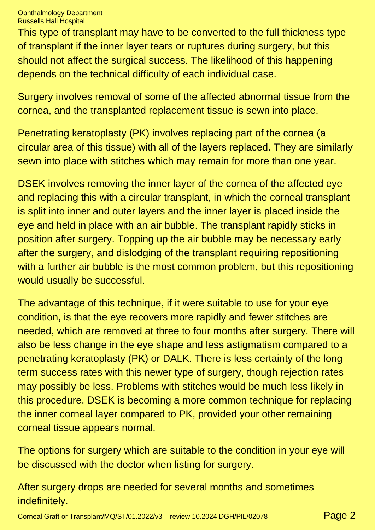This type of transplant may have to be converted to the full thickness type of transplant if the inner layer tears or ruptures during surgery, but this should not affect the surgical success. The likelihood of this happening depends on the technical difficulty of each individual case.

Surgery involves removal of some of the affected abnormal tissue from the cornea, and the transplanted replacement tissue is sewn into place.

Penetrating keratoplasty (PK) involves replacing part of the cornea (a circular area of this tissue) with all of the layers replaced. They are similarly sewn into place with stitches which may remain for more than one year.

DSEK involves removing the inner layer of the cornea of the affected eye and replacing this with a circular transplant, in which the corneal transplant is split into inner and outer layers and the inner layer is placed inside the eye and held in place with an air bubble. The transplant rapidly sticks in position after surgery. Topping up the air bubble may be necessary early after the surgery, and dislodging of the transplant requiring repositioning with a further air bubble is the most common problem, but this repositioning would usually be successful.

The advantage of this technique, if it were suitable to use for your eye condition, is that the eye recovers more rapidly and fewer stitches are needed, which are removed at three to four months after surgery. There will also be less change in the eye shape and less astigmatism compared to a penetrating keratoplasty (PK) or DALK. There is less certainty of the long term success rates with this newer type of surgery, though rejection rates may possibly be less. Problems with stitches would be much less likely in this procedure. DSEK is becoming a more common technique for replacing the inner corneal layer compared to PK, provided your other remaining corneal tissue appears normal.

The options for surgery which are suitable to the condition in your eye will be discussed with the doctor when listing for surgery.

After surgery drops are needed for several months and sometimes indefinitely.

Corneal Graft or Transplant/MQ/ST/01.2022/v3 – review 10.2024 DGH/PIL/02078 Page 2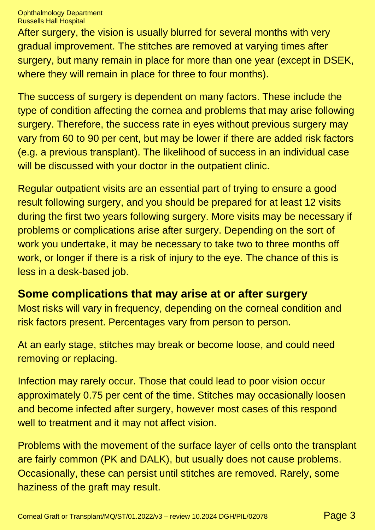After surgery, the vision is usually blurred for several months with very gradual improvement. The stitches are removed at varying times after surgery, but many remain in place for more than one year (except in DSEK, where they will remain in place for three to four months).

The success of surgery is dependent on many factors. These include the type of condition affecting the cornea and problems that may arise following surgery. Therefore, the success rate in eyes without previous surgery may vary from 60 to 90 per cent, but may be lower if there are added risk factors (e.g. a previous transplant). The likelihood of success in an individual case will be discussed with your doctor in the outpatient clinic.

Regular outpatient visits are an essential part of trying to ensure a good result following surgery, and you should be prepared for at least 12 visits during the first two years following surgery. More visits may be necessary if problems or complications arise after surgery. Depending on the sort of work you undertake, it may be necessary to take two to three months off work, or longer if there is a risk of injury to the eye. The chance of this is less in a desk-based job.

# **Some complications that may arise at or after surgery**

Most risks will vary in frequency, depending on the corneal condition and risk factors present. Percentages vary from person to person.

At an early stage, stitches may break or become loose, and could need removing or replacing.

Infection may rarely occur. Those that could lead to poor vision occur approximately 0.75 per cent of the time. Stitches may occasionally loosen and become infected after surgery, however most cases of this respond well to treatment and it may not affect vision.

Problems with the movement of the surface layer of cells onto the transplant are fairly common (PK and DALK), but usually does not cause problems. Occasionally, these can persist until stitches are removed. Rarely, some haziness of the graft may result.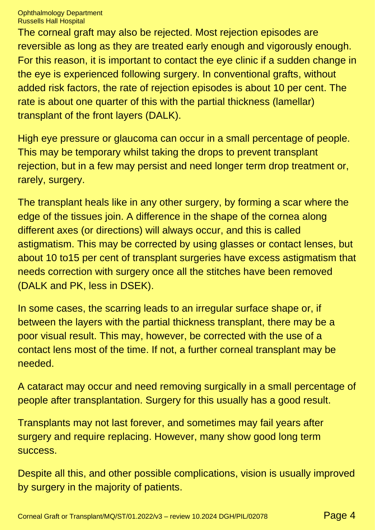The corneal graft may also be rejected. Most rejection episodes are reversible as long as they are treated early enough and vigorously enough. For this reason, it is important to contact the eye clinic if a sudden change in the eye is experienced following surgery. In conventional grafts, without added risk factors, the rate of rejection episodes is about 10 per cent. The rate is about one quarter of this with the partial thickness (lamellar) transplant of the front layers (DALK).

High eye pressure or glaucoma can occur in a small percentage of people. This may be temporary whilst taking the drops to prevent transplant rejection, but in a few may persist and need longer term drop treatment or, rarely, surgery.

The transplant heals like in any other surgery, by forming a scar where the edge of the tissues join. A difference in the shape of the cornea along different axes (or directions) will always occur, and this is called astigmatism. This may be corrected by using glasses or contact lenses, but about 10 to15 per cent of transplant surgeries have excess astigmatism that needs correction with surgery once all the stitches have been removed (DALK and PK, less in DSEK).

In some cases, the scarring leads to an irregular surface shape or, if between the layers with the partial thickness transplant, there may be a poor visual result. This may, however, be corrected with the use of a contact lens most of the time. If not, a further corneal transplant may be needed.

A cataract may occur and need removing surgically in a small percentage of people after transplantation. Surgery for this usually has a good result.

Transplants may not last forever, and sometimes may fail years after surgery and require replacing. However, many show good long term success.

Despite all this, and other possible complications, vision is usually improved by surgery in the majority of patients.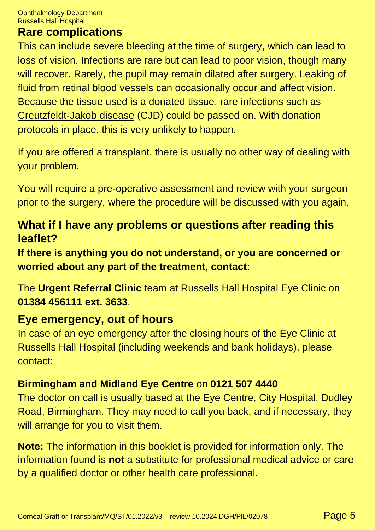### **Rare complications**

This can include severe bleeding at the time of surgery, which can lead to loss of vision. Infections are rare but can lead to poor vision, though many will recover. Rarely, the pupil may remain dilated after surgery. Leaking of fluid from retinal blood vessels can occasionally occur and affect vision. Because the tissue used is a donated tissue, rare infections such as [Creutzfeldt-Jakob disease](https://www.nhs.uk/conditions/creutzfeldt-jakob-disease-cjd/) (CJD) could be passed on. With donation protocols in place, this is very unlikely to happen.

If you are offered a transplant, there is usually no other way of dealing with your problem.

You will require a pre-operative assessment and review with your surgeon prior to the surgery, where the procedure will be discussed with you again.

# **What if I have any problems or questions after reading this leaflet?**

**If there is anything you do not understand, or you are concerned or worried about any part of the treatment, contact:**

The **Urgent Referral Clinic** team at Russells Hall Hospital Eye Clinic on **01384 456111 ext. 3633**.

## **Eye emergency, out of hours**

In case of an eye emergency after the closing hours of the Eye Clinic at Russells Hall Hospital (including weekends and bank holidays), please contact:

#### **Birmingham and Midland Eye Centre** on **0121 507 4440**

The doctor on call is usually based at the Eye Centre, City Hospital, Dudley Road, Birmingham. They may need to call you back, and if necessary, they will arrange for you to visit them.

**Note:** The information in this booklet is provided for information only. The information found is **not** a substitute for professional medical advice or care by a qualified doctor or other health care professional.